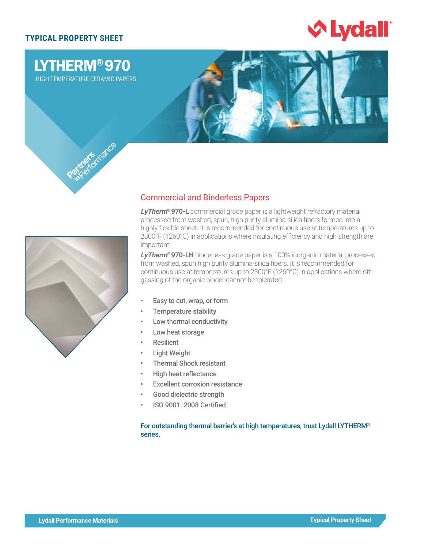# **TYPICAL PROPERTY SHEET**





# Commercial and Binderless Papers

**LyTherm® 970-L** commercial grade paper is a lightweight refractory material processed from washed, spun, high purity alumina-silica fibers formed into a highly flexible sheet. It is recommended for continuous use at temperatures up to 2300°F (1260°C) in applications where insulating efficiency and high strength are important.

**LyTherm® 970-LH** binderless grade paper is a 100% inorganic material processed from washed, spun high purity alumina-silica fibers. It is recommended for continuous use at temperatures up to 2300°F (1260°C) in applications where offgassing of the organic binder cannot be tolerated.

- Easy to cut, wrap, or form
- Temperature stability
- Low thermal conductivity
- Low heat storage
- **Resilient**
- **Light Weight**
- Thermal Shock resistant
- High heat reflectance
- **Excellent corrosion resistance**
- Good dielectric strength
- ISO 9001: 2008 Certified

For outstanding thermal barrier's at high temperatures, trust Lydall LYTHERM® series.

LYTHERM® 970 HIGH TEMPERATURE CERAMIC PAPERS